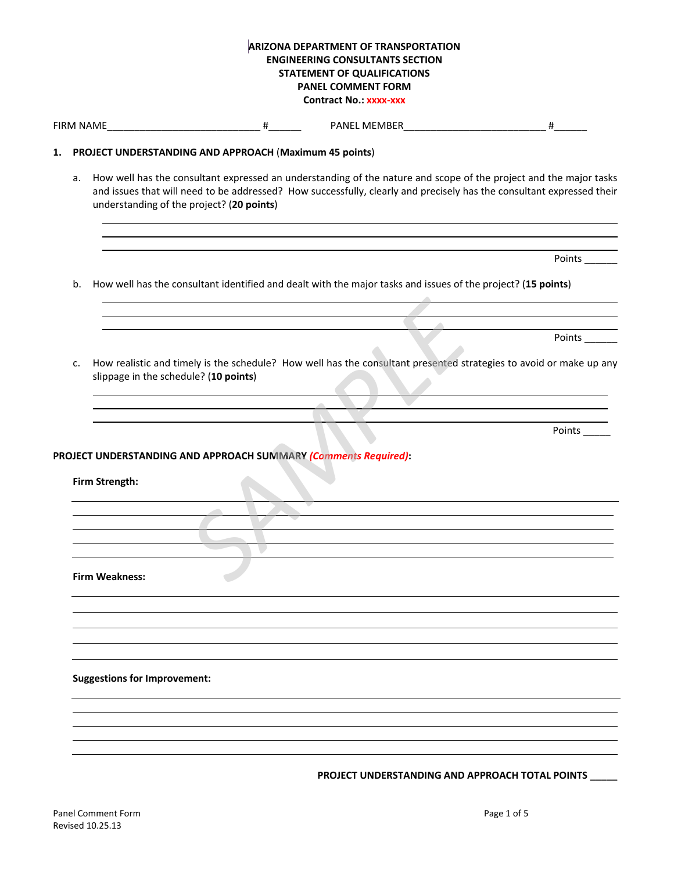|    |                                                                 | <b>ARIZONA DEPARTMENT OF TRANSPORTATION</b><br><b>ENGINEERING CONSULTANTS SECTION</b><br><b>STATEMENT OF QUALIFICATIONS</b><br><b>PANEL COMMENT FORM</b>                                                                                   |        |
|----|-----------------------------------------------------------------|--------------------------------------------------------------------------------------------------------------------------------------------------------------------------------------------------------------------------------------------|--------|
|    |                                                                 | <b>Contract No.: XXXX-XXX</b>                                                                                                                                                                                                              |        |
|    | FIRM NAME #                                                     |                                                                                                                                                                                                                                            | #      |
| 1. | PROJECT UNDERSTANDING AND APPROACH (Maximum 45 points)          |                                                                                                                                                                                                                                            |        |
| a. | understanding of the project? (20 points)                       | How well has the consultant expressed an understanding of the nature and scope of the project and the major tasks<br>and issues that will need to be addressed? How successfully, clearly and precisely has the consultant expressed their |        |
|    |                                                                 |                                                                                                                                                                                                                                            | Points |
| b. |                                                                 | How well has the consultant identified and dealt with the major tasks and issues of the project? (15 points)                                                                                                                               |        |
|    |                                                                 |                                                                                                                                                                                                                                            |        |
|    |                                                                 |                                                                                                                                                                                                                                            | Points |
|    |                                                                 |                                                                                                                                                                                                                                            |        |
| c. | slippage in the schedule? (10 points)                           | How realistic and timely is the schedule? How well has the consultant presented strategies to avoid or make up any                                                                                                                         |        |
|    |                                                                 |                                                                                                                                                                                                                                            |        |
|    |                                                                 |                                                                                                                                                                                                                                            | Points |
|    | PROJECT UNDERSTANDING AND APPROACH SUMMARY (Comments Required): |                                                                                                                                                                                                                                            |        |
|    | Firm Strength:                                                  |                                                                                                                                                                                                                                            |        |
|    |                                                                 |                                                                                                                                                                                                                                            |        |
|    |                                                                 |                                                                                                                                                                                                                                            |        |
|    |                                                                 |                                                                                                                                                                                                                                            |        |
|    |                                                                 |                                                                                                                                                                                                                                            |        |
|    | <b>Firm Weakness:</b>                                           |                                                                                                                                                                                                                                            |        |
|    |                                                                 |                                                                                                                                                                                                                                            |        |
|    |                                                                 |                                                                                                                                                                                                                                            |        |
|    |                                                                 |                                                                                                                                                                                                                                            |        |
|    |                                                                 |                                                                                                                                                                                                                                            |        |
|    | <b>Suggestions for Improvement:</b>                             |                                                                                                                                                                                                                                            |        |
|    |                                                                 |                                                                                                                                                                                                                                            |        |
|    |                                                                 |                                                                                                                                                                                                                                            |        |
|    |                                                                 |                                                                                                                                                                                                                                            |        |
|    |                                                                 | PROJECT UNDERSTANDING AND APPROACH TOTAL POINTS                                                                                                                                                                                            |        |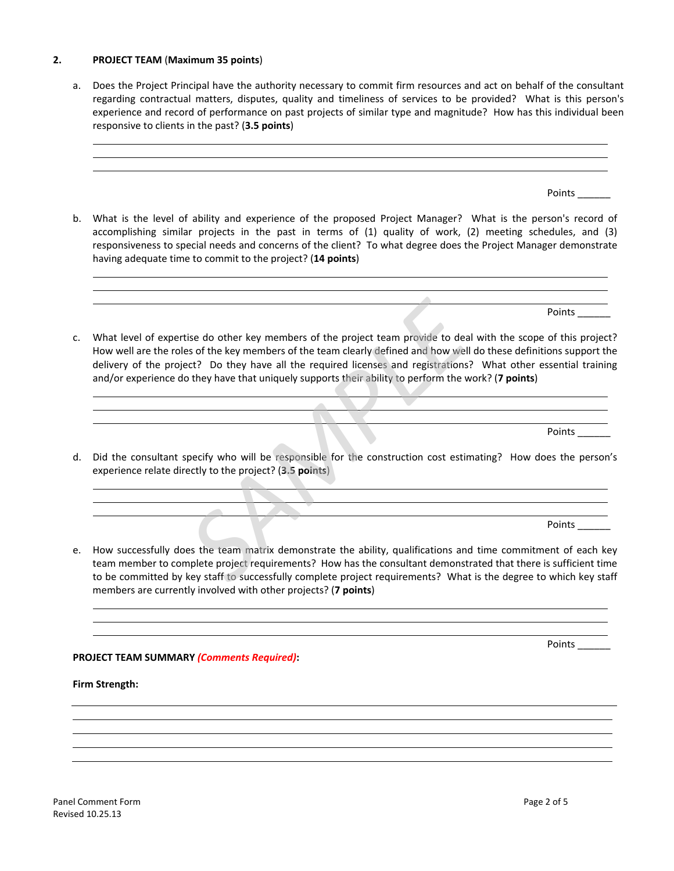## **2. PROJECT TEAM** (**Maximum 35 points**)

a. Does the Project Principal have the authority necessary to commit firm resources and act on behalf of the consultant regarding contractual matters, disputes, quality and timeliness of services to be provided? What is this person's experience and record of performance on past projects of similar type and magnitude? How has this individual been responsive to clients in the past? (**3.5 points**)

<u> 1989 - Johann Stoff, amerikansk politiker (d. 1989)</u>

b. What is the level of ability and experience of the proposed Project Manager? What is the person's record of accomplishing similar projects in the past in terms of (1) quality of work, (2) meeting schedules, and (3) responsiveness to special needs and concerns of the client? To what degree does the Project Manager demonstrate having adequate time to commit to the project? (**14 points**)

 $\mathcal{L} = \{ \mathcal{L} \mid \mathcal{L} \in \mathcal{L} \}$  . The contract of the contract of  $\mathcal{L} = \{ \mathcal{L} \mid \mathcal{L} \in \mathcal{L} \}$ 

c. What level of expertise do other key members of the project team provide to deal with the scope of this project? How well are the roles of the key members of the team clearly defined and how well do these definitions support the

<u> 1989 - Johann Barn, amerikan bernama di sebagai bernama dalam pengaran bernama dalam pengaran bernama dalam </u>

and/or experience do they have that uniquely supports their ability to perform the work? (**7 points**)

<u> 1989 - Johann Stein, Amerikaansk politiker (</u> 

delivery of the project? Do they have all the required licenses and registrations? What other essential training

Points

Points \_\_\_\_\_\_

Points \_\_\_\_\_\_

d. Did the consultant specify who will be responsible for the construction cost estimating? How does the person's experience relate directly to the project? (**3.5 points**)

the contract of the contract of the contract of the contract of the contract of the contract of the contract of  $\overline{\phantom{a}}$  , and the contract of the contract of the contract of the contract of the contract of the contract of the contract of the contract of the contract of the contract of the contract of the contract of the contrac

Points \_\_\_\_\_\_

e. How successfully does the team matrix demonstrate the ability, qualifications and time commitment of each key team member to complete project requirements? How has the consultant demonstrated that there is sufficient time to be committed by key staff to successfully complete project requirements? What is the degree to which key staff members are currently involved with other projects? (**7 points**) Itise do other key members of the project team provide to deal wites of the key members of the team clearly defined and how well do toet? Do they have all the required licenses and registrations? We were that uniquely supp

<u> 1989 - Johann Harry Harry Harry Harry Harry Harry Harry Harry Harry Harry Harry Harry Harry Harry Harry Harry</u>

<u> 1989 - Johann Barn, amerikan bernama di sebagai bernama dalam pengaran bernama dalam pengaran bernama dalam </u> <u> 1989 - Johann Stoff, amerikansk politiker (d. 1989)</u>

**PROJECT TEAM SUMMARY** *(Comments Required)***:**

**Firm Strength:**

Points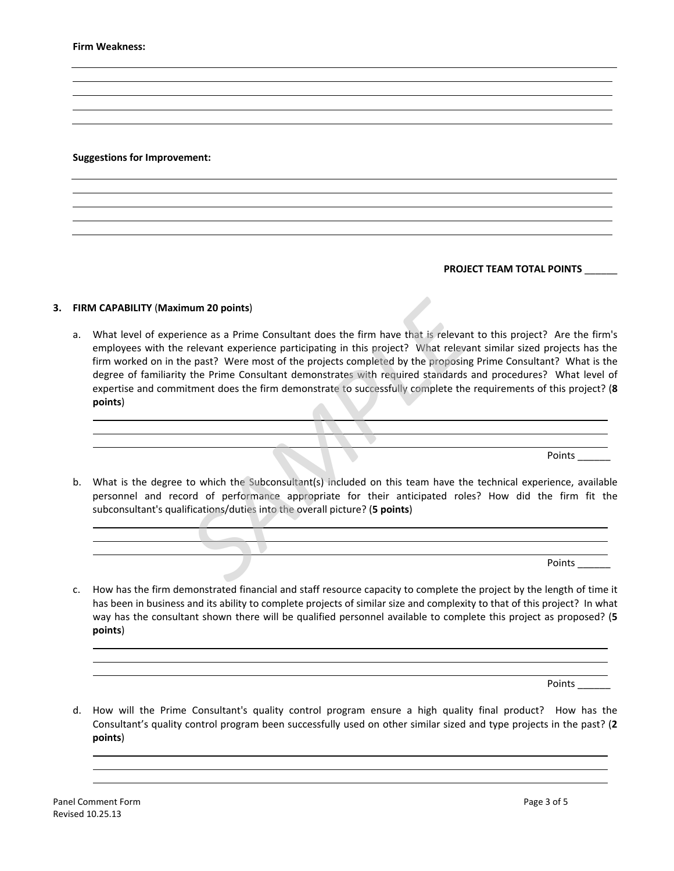#### **Suggestions for Improvement:**

## **PROJECT TEAM TOTAL POINTS** \_\_\_\_\_\_

### **3. FIRM CAPABILITY** (**Maximum 20 points**)

a. What level of experience as a Prime Consultant does the firm have that is relevant to this project? Are the firm's employees with the relevant experience participating in this project? What relevant similar sized projects has the firm worked on in the past? Were most of the projects completed by the proposing Prime Consultant? What is the degree of familiarity the Prime Consultant demonstrates with required standards and procedures? What level of expertise and commitment does the firm demonstrate to successfully complete the requirements of this project? (**8 points**) **num 20 points)**<br>
ience as a Prime Consultant does the firm have that is relevant to<br>
relevant experience participating in this project? What relevant s<br>
ie past? Were most of the projects completed by the proposing Pri<br>

the contract of the contract of the contract of the contract of the contract of

Points

b. What is the degree to which the Subconsultant(s) included on this team have the technical experience, available personnel and record of performance appropriate for their anticipated roles? How did the firm fit the subconsultant's qualifications/duties into the overall picture? (**5 points**)

 $\overline{\phantom{a}}$  , and the state of the state of the state of the state of the state of the state of the state of the state of the state of the state of the state of the state of the state of the state of the state of the stat <u> Andreas Andreas Andreas Andreas Andreas Andreas Andreas Andreas Andreas Andreas Andreas Andreas Andreas Andreas Andreas Andreas Andreas Andreas Andreas Andreas Andreas Andreas Andreas Andreas Andreas Andreas Andreas Andr</u>

2008 - January 1980, 1980, 1980, 1980, 1980, 1980, 1980, 1980, 1980, 1980, 1980, 1980, 1980, 1980, 1980, 1980,

Points

c. How has the firm demonstrated financial and staff resource capacity to complete the project by the length of time it has been in business and its ability to complete projects of similar size and complexity to that of this project? In what way has the consultant shown there will be qualified personnel available to complete this project as proposed? (**5 points**)

<u> 1989 - Johann Stoff, amerikansk politiker (d. 1989)</u> <u> 1989 - Johann Stoff, amerikansk politiker (d. 1989)</u>

Points \_

d. How will the Prime Consultant's quality control program ensure a high quality final product? How has the Consultant's quality control program been successfully used on other similar sized and type projects in the past? (**2 points**)

<u> 1989 - Johann Stoff, deutscher Stoffen und der Stoffen und der Stoffen und der Stoffen und der Stoffen und de</u>

<u> 1989 - Johann Stoff, deutscher Stoffen und der Stoffen und der Stoffen und der Stoffen und der Stoffen und der</u> <u> 1989 - Johann Stoff, amerikansk politiker (d. 1989)</u>

<u> 1989 - Johann Harry Harry Harry Harry Harry Harry Harry Harry Harry Harry Harry Harry Harry Harry Harry Harry</u>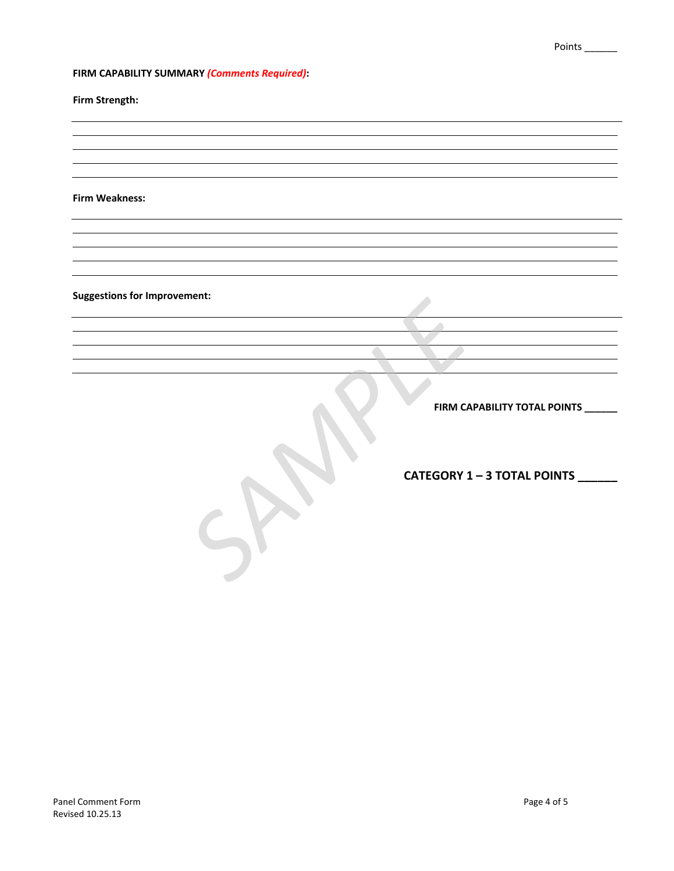# **FIRM CAPABILITY SUMMARY** *(Comments Required)***:**

**Firm Strength:**

**Firm Weakness:**

**Suggestions for Improvement:**

**FIRM CAPABILITY TOTAL POINTS \_\_\_\_\_\_**

**CATEGORY 1 – 3 TOTAL POINTS \_\_\_\_\_\_** FIRM CAPAE